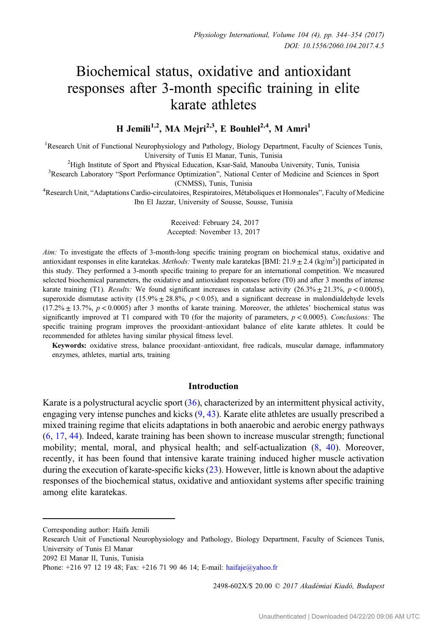# Biochemical status, oxidative and antioxidant responses after 3-month specific training in elite karate athletes

# H Jemili<sup>1,2</sup>, MA Mejri<sup>2,3</sup>, E Bouhlel<sup>2,4</sup>, M Amri<sup>1</sup>

<sup>1</sup>Research Unit of Functional Neurophysiology and Pathology, Biology Department, Faculty of Sciences Tunis, University of Tunis El Manar, Tunis, Tunisia<br><sup>2</sup>High Institute of Sport and Physical Education, Ksar-Saïd, Manouba

High Institute of Sport and Physical Education, Ksar-Saïd, Manouba University, Tunis, Tunisia<br><sup>3</sup>Research Laboratory "Sport Performance Optimization", National Center of Medicine and Sciences in

<sup>3</sup>Research Laboratory "Sport Performance Optimization", National Center of Medicine and Sciences in Sport

(CNMSS), Tunis, Tunisia <sup>4</sup> Research Unit, "Adaptations Cardio-circulatoires, Respiratoires, Métaboliques et Hormonales", Faculty of Medicine Ibn El Jazzar, University of Sousse, Sousse, Tunisia

> Received: February 24, 2017 Accepted: November 13, 2017

Aim: To investigate the effects of 3-month-long specific training program on biochemical status, oxidative and antioxidant responses in elite karatekas. Methods: Twenty male karatekas [BMI:  $21.9 \pm 2.4$  (kg/m<sup>2</sup>)] participated in this study. They performed a 3-month specific training to prepare for an international competition. We measured selected biochemical parameters, the oxidative and antioxidant responses before (T0) and after 3 months of intense karate training (T1). Results: We found significant increases in catalase activity (26.3%  $\pm$  21.3%, p < 0.0005), superoxide dismutase activity  $(15.9\% \pm 28.8\%, p < 0.05)$ , and a significant decrease in malondialdehyde levels  $(17.2\% \pm 13.7\%, p < 0.0005)$  after 3 months of karate training. Moreover, the athletes' biochemical status was significantly improved at T1 compared with T0 (for the majority of parameters,  $p < 0.0005$ ). Conclusions: The specific training program improves the prooxidant–antioxidant balance of elite karate athletes. It could be recommended for athletes having similar physical fitness level.

Keywords: oxidative stress, balance prooxidant–antioxidant, free radicals, muscular damage, inflammatory enzymes, athletes, martial arts, training

# Introduction

Karate is a polystructural acyclic sport ([36\)](#page-10-0), characterized by an intermittent physical activity, engaging very intense punches and kicks ([9,](#page-9-0) [43](#page-10-0)). Karate elite athletes are usually prescribed a mixed training regime that elicits adaptations in both anaerobic and aerobic energy pathways [\(6](#page-9-0), [17](#page-9-0), [44\)](#page-10-0). Indeed, karate training has been shown to increase muscular strength; functional mobility; mental, moral, and physical health; and self-actualization ([8,](#page-9-0) [40\)](#page-10-0). Moreover, recently, it has been found that intensive karate training induced higher muscle activation during the execution of karate-specific kicks ([23\)](#page-9-0). However, little is known about the adaptive responses of the biochemical status, oxidative and antioxidant systems after specific training among elite karatekas.

2498-602X/\$ 20.00 © 2017 Akadémiai Kiadó, Budapest

Corresponding author: Haifa Jemili

Research Unit of Functional Neurophysiology and Pathology, Biology Department, Faculty of Sciences Tunis, University of Tunis El Manar

<sup>2092</sup> El Manar II, Tunis, Tunisia

Phone: +216 97 12 19 48; Fax: +216 71 90 46 14; E-mail: [haifaje@yahoo.fr](mailto:haifaje@yahoo.fr)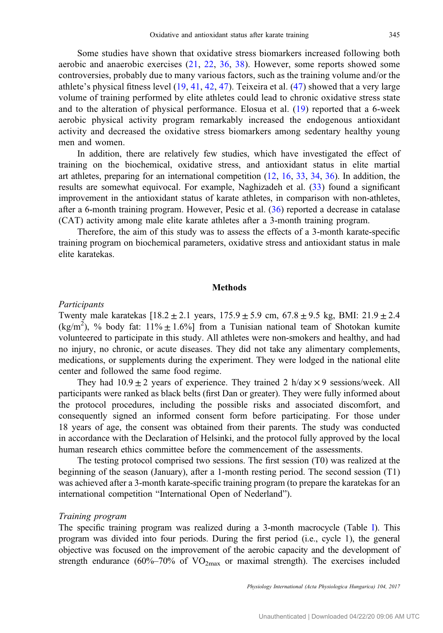Some studies have shown that oxidative stress biomarkers increased following both aerobic and anaerobic exercises ([21](#page-9-0), [22,](#page-9-0) [36](#page-10-0), [38](#page-10-0)). However, some reports showed some controversies, probably due to many various factors, such as the training volume and/or the athlete's physical fitness level ([19,](#page-9-0) [41](#page-10-0), [42](#page-10-0), [47\)](#page-10-0). Teixeira et al. [\(47\)](#page-10-0) showed that a very large volume of training performed by elite athletes could lead to chronic oxidative stress state and to the alteration of physical performance. Elosua et al. [\(19](#page-9-0)) reported that a 6-week aerobic physical activity program remarkably increased the endogenous antioxidant activity and decreased the oxidative stress biomarkers among sedentary healthy young men and women.

In addition, there are relatively few studies, which have investigated the effect of training on the biochemical, oxidative stress, and antioxidant status in elite martial art athletes, preparing for an international competition [\(12](#page-9-0), [16,](#page-9-0) [33](#page-10-0), [34,](#page-10-0) [36\)](#page-10-0). In addition, the results are somewhat equivocal. For example, Naghizadeh et al. ([33\)](#page-10-0) found a significant improvement in the antioxidant status of karate athletes, in comparison with non-athletes, after a 6-month training program. However, Pesic et al. ([36\)](#page-10-0) reported a decrease in catalase (CAT) activity among male elite karate athletes after a 3-month training program.

Therefore, the aim of this study was to assess the effects of a 3-month karate-specific training program on biochemical parameters, oxidative stress and antioxidant status in male elite karatekas.

# **Methods**

#### Participants

Twenty male karatekas  $[18.2 \pm 2.1 \text{ years}, 175.9 \pm 5.9 \text{ cm}, 67.8 \pm 9.5 \text{ kg}, \text{BMI: } 21.9 \pm 2.4$ (kg/m<sup>2</sup>), % body fat: 11%  $\pm$  1.6%] from a Tunisian national team of Shotokan kumite volunteered to participate in this study. All athletes were non-smokers and healthy, and had no injury, no chronic, or acute diseases. They did not take any alimentary complements, medications, or supplements during the experiment. They were lodged in the national elite center and followed the same food regime.

They had  $10.9 \pm 2$  years of experience. They trained 2 h/day  $\times$  9 sessions/week. All participants were ranked as black belts (first Dan or greater). They were fully informed about the protocol procedures, including the possible risks and associated discomfort, and consequently signed an informed consent form before participating. For those under 18 years of age, the consent was obtained from their parents. The study was conducted in accordance with the Declaration of Helsinki, and the protocol fully approved by the local human research ethics committee before the commencement of the assessments.

The testing protocol comprised two sessions. The first session (T0) was realized at the beginning of the season (January), after a 1-month resting period. The second session (T1) was achieved after a 3-month karate-specific training program (to prepare the karatekas for an international competition "International Open of Nederland").

### Training program

The specific training program was realized during a 3-month macrocycle (Table [I\)](#page-2-0). This program was divided into four periods. During the first period (i.e., cycle 1), the general objective was focused on the improvement of the aerobic capacity and the development of strength endurance (60%–70% of  $VO_{2max}$  or maximal strength). The exercises included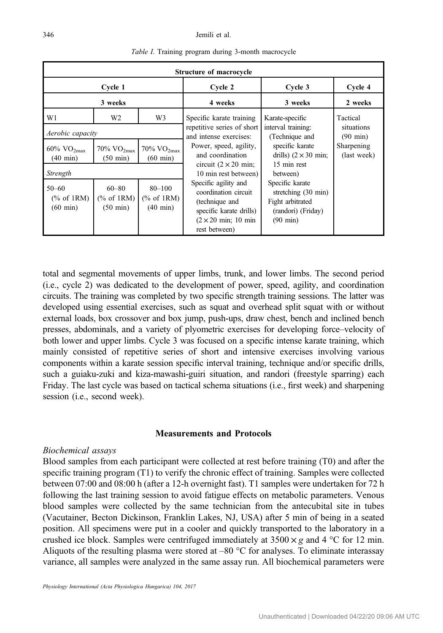<span id="page-2-0"></span>

|                                                 |                                             |                                                               | Structure of macrocycle                                                                                                                  |                                                                                                                  |                           |
|-------------------------------------------------|---------------------------------------------|---------------------------------------------------------------|------------------------------------------------------------------------------------------------------------------------------------------|------------------------------------------------------------------------------------------------------------------|---------------------------|
|                                                 | Cycle 1                                     |                                                               | Cycle 2                                                                                                                                  | Cycle 3                                                                                                          | Cycle 4                   |
|                                                 | 3 weeks                                     |                                                               | 4 weeks                                                                                                                                  | 3 weeks                                                                                                          | 2 weeks                   |
| W1                                              | W <sub>2</sub>                              | W3                                                            | Specific karate training                                                                                                                 | Karate-specific                                                                                                  | Tactical<br>situations    |
| Aerobic capacity                                |                                             |                                                               | repetitive series of short<br>and intense exercises:                                                                                     | interval training:<br>(Technique and                                                                             | $(90 \text{ min})$        |
| $60\%$ VO <sub>2max</sub><br>$(40 \text{ min})$ | 70% $VO2max$<br>$(50 \text{ min})$          | $70\%$ VO <sub>2max</sub><br>$(60 \text{ min})$               | Power, speed, agility,<br>and coordination                                                                                               | specific karate<br>drills) $(2 \times 30 \text{ min})$ ;<br>15 min rest                                          | Sharpening<br>(last week) |
| Strength                                        |                                             | circuit $(2 \times 20 \text{ min})$ ;<br>10 min rest between) | between)                                                                                                                                 |                                                                                                                  |                           |
| $50 - 60$<br>% of 1RM<br>$(60 \text{ min})$     | $60 - 80$<br>% of 1RM<br>$(50 \text{ min})$ | $80 - 100$<br>% of 1RM<br>$(40 \text{ min})$                  | Specific agility and<br>coordination circuit<br>(technique and<br>specific karate drills)<br>$(2 \times 20$ min; 10 min<br>rest between) | Specific karate<br>stretching $(30 \text{ min})$<br>Fight arbitrated<br>(randori) (Friday)<br>$(90 \text{ min})$ |                           |

Table I. Training program during 3-month macrocycle

total and segmental movements of upper limbs, trunk, and lower limbs. The second period (i.e., cycle 2) was dedicated to the development of power, speed, agility, and coordination circuits. The training was completed by two specific strength training sessions. The latter was developed using essential exercises, such as squat and overhead split squat with or without external loads, box crossover and box jump, push-ups, draw chest, bench and inclined bench presses, abdominals, and a variety of plyometric exercises for developing force–velocity of both lower and upper limbs. Cycle 3 was focused on a specific intense karate training, which mainly consisted of repetitive series of short and intensive exercises involving various components within a karate session specific interval training, technique and/or specific drills, such a guiaku-zuki and kiza-mawashi-guiri situation, and randori (freestyle sparring) each Friday. The last cycle was based on tactical schema situations (i.e., first week) and sharpening session (i.e., second week).

# Measurements and Protocols

# Biochemical assays

Blood samples from each participant were collected at rest before training (T0) and after the specific training program (T1) to verify the chronic effect of training. Samples were collected between 07:00 and 08:00 h (after a 12-h overnight fast). T1 samples were undertaken for 72 h following the last training session to avoid fatigue effects on metabolic parameters. Venous blood samples were collected by the same technician from the antecubital site in tubes (Vacutainer, Becton Dickinson, Franklin Lakes, NJ, USA) after 5 min of being in a seated position. All specimens were put in a cooler and quickly transported to the laboratory in a crushed ice block. Samples were centrifuged immediately at  $3500 \times g$  and  $4^{\circ}$ C for 12 min. Aliquots of the resulting plasma were stored at  $-80$  °C for analyses. To eliminate interassay variance, all samples were analyzed in the same assay run. All biochemical parameters were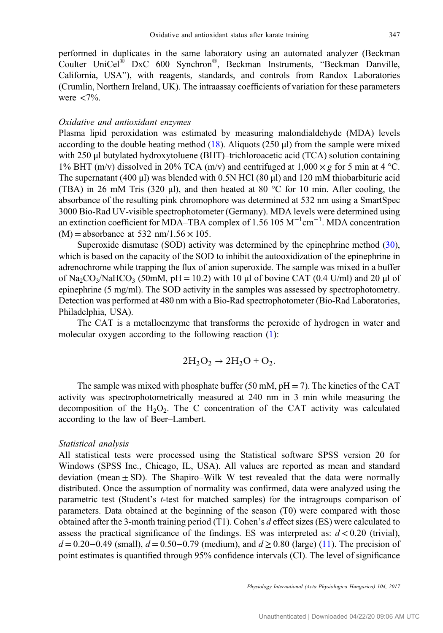performed in duplicates in the same laboratory using an automated analyzer (Beckman Coulter UniCel® DxC 600 Synchron®, Beckman Instruments, "Beckman Danville, California, USA"), with reagents, standards, and controls from Randox Laboratories (Crumlin, Northern Ireland, UK). The intraassay coefficients of variation for these parameters were  $\langle 7\% \rangle$ .

#### Oxidative and antioxidant enzymes

Plasma lipid peroxidation was estimated by measuring malondialdehyde (MDA) levels according to the double heating method ([18\)](#page-9-0). Aliquots (250 μl) from the sample were mixed with 250 μl butylated hydroxytoluene (BHT)–trichloroacetic acid (TCA) solution containing 1% BHT (m/v) dissolved in 20% TCA (m/v) and centrifuged at  $1,000 \times g$  for 5 min at 4 °C. The supernatant (400 μl) was blended with 0.5N HCl (80 μl) and 120 mM thiobarbituric acid (TBA) in 26 mM Tris (320  $\mu$ ), and then heated at 80 °C for 10 min. After cooling, the absorbance of the resulting pink chromophore was determined at 532 nm using a SmartSpec 3000 Bio-Rad UV-visible spectrophotometer (Germany). MDA levels were determined using an extinction coefficient for MDA–TBA complex of 1.56  $105 \text{ M}^{-1} \text{cm}^{-1}$ . MDA concentration  $(M)$  = absorbance at 532 nm/1.56  $\times$  105.

Superoxide dismutase (SOD) activity was determined by the epinephrine method [\(30](#page-10-0)), which is based on the capacity of the SOD to inhibit the autooxidization of the epinephrine in adrenochrome while trapping the flux of anion superoxide. The sample was mixed in a buffer of Na<sub>2</sub>CO<sub>3</sub>/NaHCO<sub>3</sub> (50mM, pH = 10.2) with 10 μl of bovine CAT (0.4 U/ml) and 20 μl of epinephrine (5 mg/ml). The SOD activity in the samples was assessed by spectrophotometry. Detection was performed at 480 nm with a Bio-Rad spectrophotometer (Bio-Rad Laboratories, Philadelphia, USA).

The CAT is a metalloenzyme that transforms the peroxide of hydrogen in water and molecular oxygen according to the following reaction ([1\)](#page-8-0):

$$
2H_2O_2 \rightarrow 2H_2O + O_2.
$$

The sample was mixed with phosphate buffer (50 mM,  $pH = 7$ ). The kinetics of the CAT activity was spectrophotometrically measured at 240 nm in 3 min while measuring the decomposition of the  $H_2O_2$ . The C concentration of the CAT activity was calculated according to the law of Beer–Lambert.

# Statistical analysis

All statistical tests were processed using the Statistical software SPSS version 20 for Windows (SPSS Inc., Chicago, IL, USA). All values are reported as mean and standard deviation (mean  $\pm$  SD). The Shapiro–Wilk W test revealed that the data were normally distributed. Once the assumption of normality was confirmed, data were analyzed using the parametric test (Student's t-test for matched samples) for the intragroups comparison of parameters. Data obtained at the beginning of the season (T0) were compared with those obtained after the 3-month training period (T1). Cohen's d effect sizes (ES) were calculated to assess the practical significance of the findings. ES was interpreted as:  $d < 0.20$  (trivial),  $d = 0.20 - 0.49$  (small),  $d = 0.50 - 0.79$  (medium), and  $d \ge 0.80$  (large) [\(11](#page-9-0)). The precision of point estimates is quantified through 95% confidence intervals (CI). The level of significance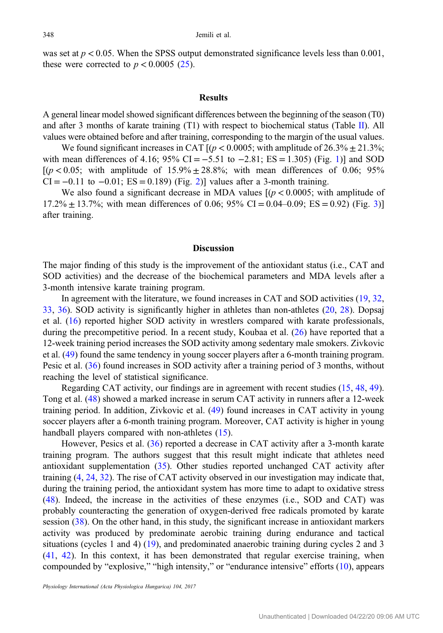was set at  $p < 0.05$ . When the SPSS output demonstrated significance levels less than 0.001, these were corrected to  $p < 0.0005$  ([25\)](#page-9-0).

#### Results

A general linear model showed significant differences between the beginning of the season (T0) and after 3 months of karate training (T1) with respect to biochemical status (Table [II\)](#page-5-0). All values were obtained before and after training, corresponding to the margin of the usual values.

We found significant increases in CAT  $[(p < 0.0005; \text{ with amplitude of } 26.3\% \pm 21.3\%;$ with mean differences of 4.[1](#page-6-0)6; 95% CI =  $-5.51$  to  $-2.81$ ; ES = 1.305) (Fig. 1)] and SOD  $[(p < 0.05;$  with amplitude of  $15.9\% \pm 28.8\%;$  with mean differences of 0.06; 95% CI =  $-0.11$  to  $-0.01$ ; ES = 0.189) (Fig. [2](#page-6-0))] values after a 3-month training.

We also found a significant decrease in MDA values  $(p < 0.0005$ ; with amplitude of  $17.2\% \pm 13.7\%$ ; with mean differences of 0.06; 95% CI = 0.04–0.09; ES = 0.92) (Fig. [3\)](#page-6-0)] after training.

# **Discussion**

The major finding of this study is the improvement of the antioxidant status (i.e., CAT and SOD activities) and the decrease of the biochemical parameters and MDA levels after a 3-month intensive karate training program.

In agreement with the literature, we found increases in CAT and SOD activities ([19,](#page-9-0) [32,](#page-10-0) [33](#page-10-0), [36\)](#page-10-0). SOD activity is significantly higher in athletes than non-athletes ([20,](#page-9-0) [28\)](#page-9-0). Dopsaj et al. ([16\)](#page-9-0) reported higher SOD activity in wrestlers compared with karate professionals, during the precompetitive period. In a recent study, Koubaa et al. ([26\)](#page-9-0) have reported that a 12-week training period increases the SOD activity among sedentary male smokers. Zivkovic et al. [\(49](#page-10-0)) found the same tendency in young soccer players after a 6-month training program. Pesic et al. ([36\)](#page-10-0) found increases in SOD activity after a training period of 3 months, without reaching the level of statistical significance.

Regarding CAT activity, our findings are in agreement with recent studies ([15](#page-9-0), [48](#page-10-0), [49](#page-10-0)). Tong et al. ([48\)](#page-10-0) showed a marked increase in serum CAT activity in runners after a 12-week training period. In addition, Zivkovic et al. ([49](#page-10-0)) found increases in CAT activity in young soccer players after a 6-month training program. Moreover, CAT activity is higher in young handball players compared with non-athletes ([15\)](#page-9-0).

However, Pesics et al. [\(36](#page-10-0)) reported a decrease in CAT activity after a 3-month karate training program. The authors suggest that this result might indicate that athletes need antioxidant supplementation [\(35](#page-10-0)). Other studies reported unchanged CAT activity after training [\(4](#page-8-0), [24](#page-9-0), [32](#page-10-0)). The rise of CAT activity observed in our investigation may indicate that, during the training period, the antioxidant system has more time to adapt to oxidative stress [\(48](#page-10-0)). Indeed, the increase in the activities of these enzymes (i.e., SOD and CAT) was probably counteracting the generation of oxygen-derived free radicals promoted by karate session ([38\)](#page-10-0). On the other hand, in this study, the significant increase in antioxidant markers activity was produced by predominate aerobic training during endurance and tactical situations (cycles 1 and 4) [\(19\)](#page-9-0), and predominated anaerobic training during cycles 2 and 3 [\(41](#page-10-0), [42](#page-10-0)). In this context, it has been demonstrated that regular exercise training, when compounded by "explosive," "high intensity," or "endurance intensive" efforts ([10\)](#page-9-0), appears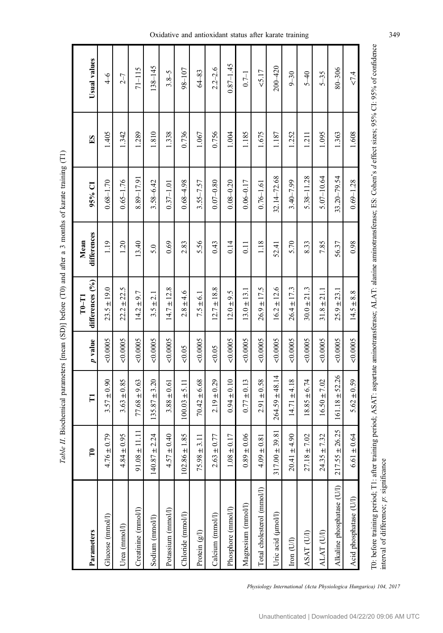<span id="page-5-0"></span>

| Parameters                 | $\mathbf{r}$       | П                  | p value  | differences (%)<br>$T-0$ | differences<br>Mean | 95% CI         | $E\mathbf{S}$ | Usual values  |
|----------------------------|--------------------|--------------------|----------|--------------------------|---------------------|----------------|---------------|---------------|
| Glucose (mmol/l)           | $4.76 \pm 0.79$    | $3.57 \pm 0.90$    | 0.0005   | $23.5 \pm 19.0$          | 119                 | $0.68 - 1.70$  | 1.405         | $\frac{4}{6}$ |
| Urea (mmol/l)              | $4.84 \pm 0.95$    | $3.63 \pm 0.85$    | 0.0005   | ± 22.5<br>22.2           | 1.20                | $0.65 - 1.76$  | 1.342         | $2 - 7$       |
| Creatinine (mmol/l)        | $91.08 \pm 11.11$  | $77.68 \pm 9.63$   | < 0.0005 | $\pm$ 9.7<br>14.2        | 13.40               | 8.89-17.91     | 1.289         | $71 - 115$    |
| Sodium (mmol/l)            | $140.87 \pm 2.24$  | $135.87 \pm 3.20$  | 0.0005   | ± 2.1<br>3.5             | 5.0                 | $3.58 - 6.42$  | 1.810         | $138 - 145$   |
| Potassium (mmol/l)         | $4.57 \pm 0.40$    | $3.88 \pm 0.61$    | < 0.0005 | $14.7 \pm 12.8$          | 0.69                | $0.37 - 1.01$  | 1.338         | $3.8 - 5$     |
| Chloride (mmol/l)          | $102.86 \pm 1.85$  | $100.03 \pm 5.11$  | &0.05    | $2.8 \pm 4.6$            | 2.83                | $0.68 - 4.98$  | 0.736         | $98 - 107$    |
| Protein (g/l)              | $75.98 \pm 3.11$   | $70.42 \pm 6.68$   | 0.0005   | $7.5 \pm 6.1$            | 5.56                | $3.55 - 7.57$  | 1.067         | $64 - 83$     |
| Calcium (mmol/l)           | $2.63 \pm 0.77$    | $2.19 \pm 0.29$    | 0.05     | $12.7 \pm 18.8$          | 0.43                | $0.07 - 0.80$  | 0.756         | $2.2 - 2.6$   |
| Phosphore (mmol/l)         | $1.08 \pm 0.17$    | $0.94 \pm 0.10$    | 0.0005   | $12.0 \pm 9.5$           | 0.14                | $0.08 - 0.20$  | 1.004         | $0.87 - 1.45$ |
| Magnesium (mmol/l)         | $0.89 \pm 0.06$    | $0.77 \pm 0.13$    | 0.0005   | $13.0 \pm 13.1$          | 0.11                | $0.06 - 0.17$  | 1.185         | $0.7 - 1$     |
| Total cholesterol (mmol/l) | $4.09 \pm 0.81$    | $2.91 \pm 0.58$    | 0.0005   | $26.9 \pm 17.5$          | 1.18                | $0.76 - 1.61$  | 1.675         | 5.17          |
| Uric acid (µmol/l)         | $317.00 \pm 39.81$ | $264.59 \pm 48.14$ | &0.0005  | $16.2 \pm 12.6$          | 52.41               | 32.14-72.68    | 1.187         | $200 - 420$   |
| Iron (U/l)                 | $20.41 \pm 4.90$   | $14.71 \pm 4.18$   | 0.0005   | $26.4 \pm 17.3$          | 5.70                | $3.40 - 7.99$  | 1.252         | $9 - 30$      |
| ASAT (U/I)                 | $27.18 \pm 7.02$   | $18.85 \pm 6.74$   | &0.0005  | $30.0 \pm 21.3$          | 8.33                | $5.38 - 11.28$ | 1.211         | $5 - 40$      |
| ALAT (UI)                  | $24.35 \pm 7.32$   | $16.50 \pm 7.02$   | < 0.0005 | $31.8 \pm 21.1$          | 7.85                | $5.07 - 10.64$ | 1.095         | $5 - 35$      |
| Alkaline phosphatase (U/l) | $217.55 \pm 26.25$ | $161.18 \pm 52.26$ | 0.0005   | $\pm 23.1$<br>25.9       | 56.37               | 33.20-79.54    | 1.363         | $80 - 306$    |
| Acid phosphatase (U/I)     | $6.61 \pm 0.64$    | $5.62 \pm 0.59$    | < 0.0005 | $14.5 \pm 8.8$           | 0.98                | $0.69 - 1.28$  | 1.608         | 27.4          |
|                            |                    |                    |          |                          |                     |                |               |               |

Table II. Biochemical parameters [mean (SD)] before (T0) and after a 3 months of karate training (T1) Table II. Biochemical parameters [mean (SD)] before (T0) and after a 3 months of karate training (T1)

Physiology International (Acta Physiologica Hungarica) 104, 2017

T0: before training period; T1: after training period; ASAT: aspartate aminotransferase; ALAT: alanine aminotransferase; ES: Cohen's d effect sizes; 95% CI: 95% of confidence

T0: before training period; T1: after training period; ASAT: aspartate aminotransferase; ALAT: alanine aminotransferase; ES: Cohen's defibet sizes; 95% CL 95% of confidence

interval of difference;

interval of difference; p: significance

p: significance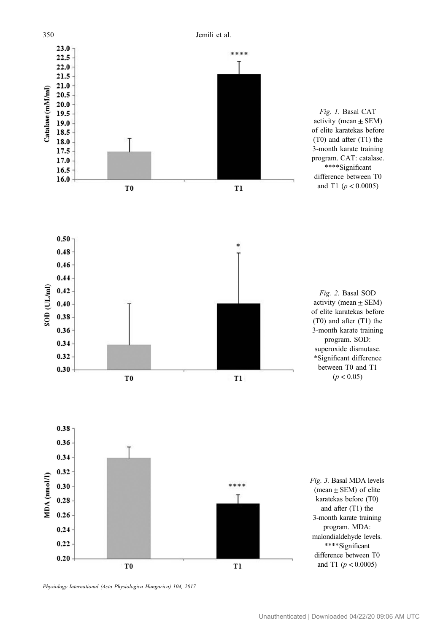<span id="page-6-0"></span>

Physiology International (Acta Physiologica Hungarica) 104, 2017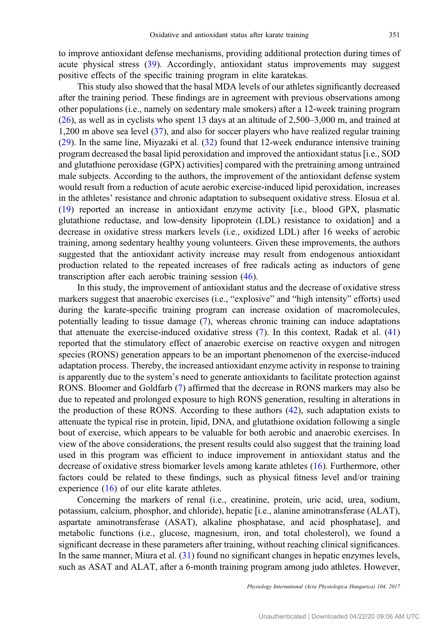to improve antioxidant defense mechanisms, providing additional protection during times of acute physical stress [\(39](#page-10-0)). Accordingly, antioxidant status improvements may suggest positive effects of the specific training program in elite karatekas.

This study also showed that the basal MDA levels of our athletes significantly decreased after the training period. These findings are in agreement with previous observations among other populations (i.e., namely on sedentary male smokers) after a 12-week training program [\(26](#page-9-0)), as well as in cyclists who spent 13 days at an altitude of 2,500–3,000 m, and trained at 1,200 m above sea level ([37\)](#page-10-0), and also for soccer players who have realized regular training [\(29](#page-9-0)). In the same line, Miyazaki et al. [\(32](#page-10-0)) found that 12-week endurance intensive training program decreased the basal lipid peroxidation and improved the antioxidant status [i.e., SOD and glutathione peroxidase (GPX) activities] compared with the pretraining among untrained male subjects. According to the authors, the improvement of the antioxidant defense system would result from a reduction of acute aerobic exercise-induced lipid peroxidation, increases in the athletes' resistance and chronic adaptation to subsequent oxidative stress. Elosua et al. [\(19](#page-9-0)) reported an increase in antioxidant enzyme activity [i.e., blood GPX, plasmatic glutathione reductase, and low-density lipoprotein (LDL) resistance to oxidation] and a decrease in oxidative stress markers levels (i.e., oxidized LDL) after 16 weeks of aerobic training, among sedentary healthy young volunteers. Given these improvements, the authors suggested that the antioxidant activity increase may result from endogenous antioxidant production related to the repeated increases of free radicals acting as inductors of gene transcription after each aerobic training session ([46\)](#page-10-0).

In this study, the improvement of antioxidant status and the decrease of oxidative stress markers suggest that anaerobic exercises (i.e., "explosive" and "high intensity" efforts) used during the karate-specific training program can increase oxidation of macromolecules, potentially leading to tissue damage ([7\)](#page-9-0), whereas chronic training can induce adaptations that attenuate the exercise-induced oxidative stress ([7\)](#page-9-0). In this context, Radak et al. ([41\)](#page-10-0) reported that the stimulatory effect of anaerobic exercise on reactive oxygen and nitrogen species (RONS) generation appears to be an important phenomenon of the exercise-induced adaptation process. Thereby, the increased antioxidant enzyme activity in response to training is apparently due to the system's need to generate antioxidants to facilitate protection against RONS. Bloomer and Goldfarb [\(7](#page-9-0)) affirmed that the decrease in RONS markers may also be due to repeated and prolonged exposure to high RONS generation, resulting in alterations in the production of these RONS. According to these authors [\(42](#page-10-0)), such adaptation exists to attenuate the typical rise in protein, lipid, DNA, and glutathione oxidation following a single bout of exercise, which appears to be valuable for both aerobic and anaerobic exercises. In view of the above considerations, the present results could also suggest that the training load used in this program was efficient to induce improvement in antioxidant status and the decrease of oxidative stress biomarker levels among karate athletes ([16\)](#page-9-0). Furthermore, other factors could be related to these findings, such as physical fitness level and/or training experience ([16\)](#page-9-0) of our elite karate athletes.

Concerning the markers of renal (i.e., creatinine, protein, uric acid, urea, sodium, potassium, calcium, phosphor, and chloride), hepatic [i.e., alanine aminotransferase (ALAT), aspartate aminotransferase (ASAT), alkaline phosphatase, and acid phosphatase], and metabolic functions (i.e., glucose, magnesium, iron, and total cholesterol), we found a significant decrease in these parameters after training, without reaching clinical significances. In the same manner, Miura et al. ([31\)](#page-10-0) found no significant changes in hepatic enzymes levels, such as ASAT and ALAT, after a 6-month training program among judo athletes. However,

Physiology International (Acta Physiologica Hungarica) 104, 2017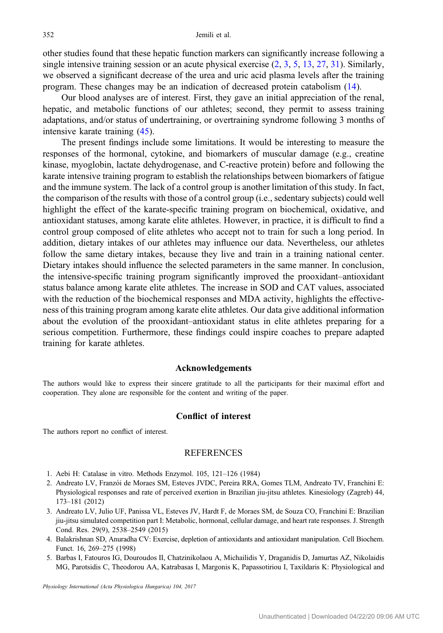<span id="page-8-0"></span>other studies found that these hepatic function markers can significantly increase following a single intensive training session or an acute physical exercise (2, 3, 5, [13](#page-9-0), [27](#page-9-0), [31](#page-10-0)). Similarly, we observed a significant decrease of the urea and uric acid plasma levels after the training program. These changes may be an indication of decreased protein catabolism [\(14](#page-9-0)).

Our blood analyses are of interest. First, they gave an initial appreciation of the renal, hepatic, and metabolic functions of our athletes; second, they permit to assess training adaptations, and/or status of undertraining, or overtraining syndrome following 3 months of intensive karate training [\(45](#page-10-0)).

The present findings include some limitations. It would be interesting to measure the responses of the hormonal, cytokine, and biomarkers of muscular damage (e.g., creatine kinase, myoglobin, lactate dehydrogenase, and C-reactive protein) before and following the karate intensive training program to establish the relationships between biomarkers of fatigue and the immune system. The lack of a control group is another limitation of this study. In fact, the comparison of the results with those of a control group (i.e., sedentary subjects) could well highlight the effect of the karate-specific training program on biochemical, oxidative, and antioxidant statuses, among karate elite athletes. However, in practice, it is difficult to find a control group composed of elite athletes who accept not to train for such a long period. In addition, dietary intakes of our athletes may influence our data. Nevertheless, our athletes follow the same dietary intakes, because they live and train in a training national center. Dietary intakes should influence the selected parameters in the same manner. In conclusion, the intensive-specific training program significantly improved the prooxidant–antioxidant status balance among karate elite athletes. The increase in SOD and CAT values, associated with the reduction of the biochemical responses and MDA activity, highlights the effectiveness of this training program among karate elite athletes. Our data give additional information about the evolution of the prooxidant–antioxidant status in elite athletes preparing for a serious competition. Furthermore, these findings could inspire coaches to prepare adapted training for karate athletes.

# Acknowledgements

The authors would like to express their sincere gratitude to all the participants for their maximal effort and cooperation. They alone are responsible for the content and writing of the paper.

# Conflict of interest

The authors report no conflict of interest.

#### **REFERENCES**

- 1. Aebi H: Catalase in vitro. Methods Enzymol. 105, 121–126 (1984)
- 2. Andreato LV, Franzói de Moraes SM, Esteves JVDC, Pereira RRA, Gomes TLM, Andreato TV, Franchini E: Physiological responses and rate of perceived exertion in Brazilian jiu-jitsu athletes. Kinesiology (Zagreb) 44, 173–181 (2012)
- 3. Andreato LV, Julio UF, Panissa VL, Esteves JV, Hardt F, de Moraes SM, de Souza CO, Franchini E: Brazilian jiu-jitsu simulated competition part I: Metabolic, hormonal, cellular damage, and heart rate responses. J. Strength Cond. Res. 29(9), 2538–2549 (2015)
- 4. Balakrishnan SD, Anuradha CV: Exercise, depletion of antioxidants and antioxidant manipulation. Cell Biochem. Funct. 16, 269–275 (1998)
- 5. Barbas I, Fatouros IG, Douroudos II, Chatzinikolaou A, Michailidis Y, Draganidis D, Jamurtas AZ, Nikolaidis MG, Parotsidis C, Theodorou AA, Katrabasas I, Margonis K, Papassotiriou I, Taxildaris K: Physiological and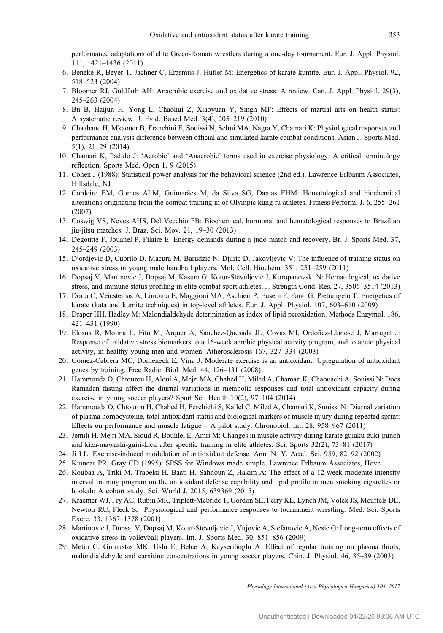<span id="page-9-0"></span>performance adaptations of elite Greco-Roman wrestlers during a one-day tournament. Eur. J. Appl. Physiol. 111, 1421–1436 (2011)

- 6. Beneke R, Beyer T, Jachner C, Erasmus J, Hutler M: Energetics of karate kumite. Eur. J. Appl. Physiol. 92, 518–523 (2004)
- 7. Bloomer RJ, Goldfarb AH: Anaerobic exercise and oxidative stress: A review. Can. J. Appl. Physiol. 29(3), 245–263 (2004)
- 8. Bu B, Haijun H, Yong L, Chaohui Z, Xiaoyuan Y, Singh MF: Effects of martial arts on health status: A systematic review. J. Evid. Based Med. 3(4), 205–219 (2010)
- 9. Chaabane H, Mkaouer B, Franchini E, Souissi N, Selmi MA, Nagra Y, Chamari K: Physiological responses and performance analysis difference between official and simulated karate combat conditions. Asian J. Sports Med. 5(1), 21–29 (2014)
- 10. Chamari K, Padulo J: 'Aerobic' and 'Anaerobic' terms used in exercise physiology: A critical terminology reflection. Sports Med. Open 1, 9 (2015)
- 11. Cohen J (1988): Statistical power analysis for the behavioral science (2nd ed.). Lawrence Erlbaum Associates, Hillsdale, NJ
- 12. Cordeiro EM, Gomes ALM, Guimarães M, da Silva SG, Dantas EHM: Hematological and biochemical alterations originating from the combat training in of Olympic kung fu athletes. Fitness Perform. J. 6, 255–261 (2007)
- 13. Coswig VS, Neves AHS, Del Vecchio FB: Biochemical, hormonal and hematological responses to Brazilian jiu-jitsu matches. J. Braz. Sci. Mov. 21, 19–30 (2013)
- 14. Degoutte F, Jouanel P, Filaire E: Energy demands during a judo match and recovery. Br. J. Sports Med. 37, 245–249 (2003)
- 15. Djordjevic D, Cubrilo D, Macura M, Barudzic N, Djuric D, Jakovljevic V: The influence of training status on oxidative stress in young male handball players. Mol. Cell. Biochem. 351, 251–259 (2011)
- 16. Dopsaj V, Martinovic J, Dopsaj M, Kasum G, Kotur-Stevuljevic J, Koropanovski N: Hematological, oxidative stress, and immune status profiling in elite combat sport athletes. J. Strength Cond. Res. 27, 3506–3514 (2013)
- 17. Doria C, Veicsteinas A, Limonta E, Maggioni MA, Aschieri P, Eusebi F, Fano G, Pietrangelo T: Energetics of karate (kata and kumite techniques) in top-level athletes. Eur. J. Appl. Physiol. 107, 603–610 (2009)
- 18. Draper HH, Hadley M: Malondialdehyde determination as index of lipid peroxidation. Methods Enzymol. 186, 421–431 (1990)
- 19. Elosua R, Molina L, Fito M, Arquer A, Sanchez-Quesada JL, Covas MI, Ordonez-Llanosc J, Marrugat J: ˜ Response of oxidative stress biomarkers to a 16-week aerobic physical activity program, and to acute physical activity, in healthy young men and women. Atherosclerosis 167, 327–334 (2003)
- 20. Gomez-Cabrera MC, Domenech E, Vina J: Moderate exercise is an antioxidant: Upregulation of antioxidant genes by training. Free Radic. Biol. Med. 44, 126–131 (2008)
- 21. Hammouda O, Chtourou H, Aloui A, Mejri MA, Chahed H, Miled A, Chamari K, Chaouachi A, Souissi N: Does Ramadan fasting affect the diurnal variations in metabolic responses and total antioxidant capacity during exercise in young soccer players? Sport Sci. Health 10(2), 97–104 (2014)
- 22. Hammouda O, Chtourou H, Chahed H, Ferchichi S, Kallel C, Miled A, Chamari K, Souissi N: Diurnal variation of plasma homocysteine, total antioxidant status and biological markers of muscle injury during repeated sprint: Effects on performance and muscle fatigue – A pilot study. Chronobiol. Int. 28, 958–967 (2011)
- 23. Jemili H, Mejri MA, Sioud R, Bouhlel E, Amri M: Changes in muscle activity during karate guiaku-zuki-punch and kiza-mawashi-guiri-kick after specific training in elite athletes. Sci. Sports 32(2), 73–81 (2017)
- 24. Ji LL: Exercise-induced modulation of antioxidant defense. Ann. N. Y. Acad. Sci. 959, 82–92 (2002)
- 25. Kinnear PR, Gray CD (1995): SPSS for Windows made simple. Lawrence Erlbaum Associates, Hove
- 26. Koubaa A, Triki M, Trabelsi H, Baati H, Sahnoun Z, Hakim A: The effect of a 12-week moderate intensity interval training program on the antioxidant defense capability and lipid profile in men smoking cigarettes or hookah: A cohort study. Sci. World J. 2015, 639369 (2015)
- 27. Kraemer WJ, Fry AC, Rubin MR, Triplett-Mcbride T, Gordon SE, Perry KL, Lynch JM, Volek JS, Meuffels DE, Newton RU, Fleck SJ: Physiological and performance responses to tournament wrestling. Med. Sci. Sports Exerc. 33, 1367–1378 (2001)
- 28. Martinovic J, Dopsaj V, Dopsaj M, Kotur-Stevuljevic J, Vujovic A, Stefanovic A, Nesic G: Long-term effects of oxidative stress in volleyball players. Int. J. Sports Med. 30, 851–856 (2009)
- 29. Metin G, Gumustas MK, Uslu E, Belce A, Kayserilioglu A: Effect of regular training on plasma thiols, malondialdehyde and carnitine concentrations in young soccer players. Chin. J. Physiol. 46, 35–39 (2003)